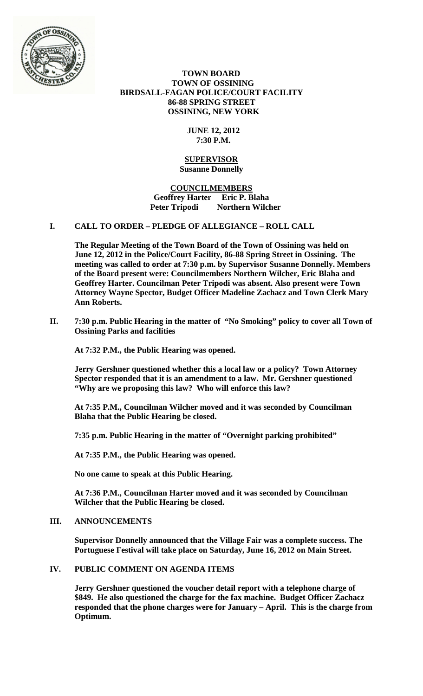

### **TOWN BOARD TOWN OF OSSINING BIRDSALL-FAGAN POLICE/COURT FACILITY 86-88 SPRING STREET OSSINING, NEW YORK**

## **JUNE 12, 2012 7:30 P.M.**

#### **SUPERVISOR Susanne Donnelly**

## **COUNCILMEMBERS Geoffrey Harter Eric P. Blaha Peter Tripodi Northern Wilcher**

# **I. CALL TO ORDER – PLEDGE OF ALLEGIANCE – ROLL CALL**

**The Regular Meeting of the Town Board of the Town of Ossining was held on June 12, 2012 in the Police/Court Facility, 86-88 Spring Street in Ossining. The meeting was called to order at 7:30 p.m. by Supervisor Susanne Donnelly. Members of the Board present were: Councilmembers Northern Wilcher, Eric Blaha and Geoffrey Harter. Councilman Peter Tripodi was absent. Also present were Town Attorney Wayne Spector, Budget Officer Madeline Zachacz and Town Clerk Mary Ann Roberts.**

**II. 7:30 p.m. Public Hearing in the matter of "No Smoking" policy to cover all Town of Ossining Parks and facilities**

**At 7:32 P.M., the Public Hearing was opened.**

**Jerry Gershner questioned whether this a local law or a policy? Town Attorney Spector responded that it is an amendment to a law. Mr. Gershner questioned "Why are we proposing this law? Who will enforce this law?**

**At 7:35 P.M., Councilman Wilcher moved and it was seconded by Councilman Blaha that the Public Hearing be closed.**

**7:35 p.m. Public Hearing in the matter of "Overnight parking prohibited"**

**At 7:35 P.M., the Public Hearing was opened.**

**No one came to speak at this Public Hearing.**

**At 7:36 P.M., Councilman Harter moved and it was seconded by Councilman Wilcher that the Public Hearing be closed.**

## **III. ANNOUNCEMENTS**

**Supervisor Donnelly announced that the Village Fair was a complete success. The Portuguese Festival will take place on Saturday, June 16, 2012 on Main Street.**

# **IV. PUBLIC COMMENT ON AGENDA ITEMS**

**Jerry Gershner questioned the voucher detail report with a telephone charge of \$849. He also questioned the charge for the fax machine. Budget Officer Zachacz responded that the phone charges were for January – April. This is the charge from Optimum.**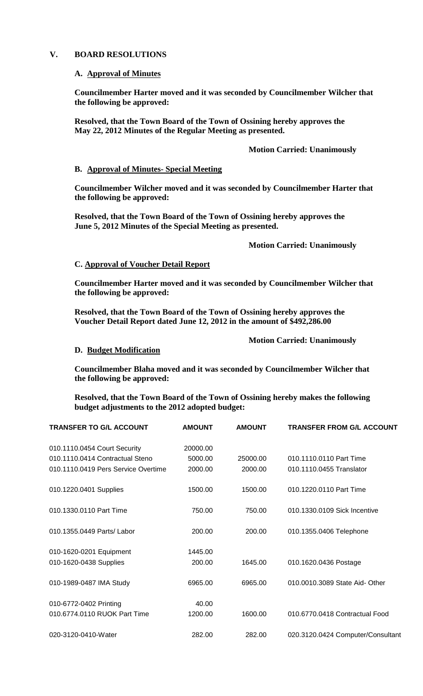### **V. BOARD RESOLUTIONS**

#### **A. Approval of Minutes**

**Councilmember Harter moved and it was seconded by Councilmember Wilcher that the following be approved:**

**Resolved, that the Town Board of the Town of Ossining hereby approves the May 22, 2012 Minutes of the Regular Meeting as presented.**

### **Motion Carried: Unanimously**

## **B. Approval of Minutes- Special Meeting**

**Councilmember Wilcher moved and it was seconded by Councilmember Harter that the following be approved:**

**Resolved, that the Town Board of the Town of Ossining hereby approves the June 5, 2012 Minutes of the Special Meeting as presented.**

#### **Motion Carried: Unanimously**

#### **C. Approval of Voucher Detail Report**

**Councilmember Harter moved and it was seconded by Councilmember Wilcher that the following be approved:**

**Resolved, that the Town Board of the Town of Ossining hereby approves the Voucher Detail Report dated June 12, 2012 in the amount of \$492,286.00**

#### **Motion Carried: Unanimously**

#### **D. Budget Modification**

**Councilmember Blaha moved and it was seconded by Councilmember Wilcher that the following be approved:**

**Resolved, that the Town Board of the Town of Ossining hereby makes the following budget adjustments to the 2012 adopted budget:**

| <b>TRANSFER TO G/L ACCOUNT</b>      | <b>AMOUNT</b> | <b>AMOUNT</b> | <b>TRANSFER FROM G/L ACCOUNT</b>  |
|-------------------------------------|---------------|---------------|-----------------------------------|
| 010.1110.0454 Court Security        | 20000.00      |               |                                   |
| 010.1110.0414 Contractual Steno     | 5000.00       | 25000.00      | 010.1110.0110 Part Time           |
| 010.1110.0419 Pers Service Overtime | 2000.00       | 2000.00       | 010.1110.0455 Translator          |
| 010.1220.0401 Supplies              | 1500.00       | 1500.00       | 010.1220.0110 Part Time           |
| 010.1330.0110 Part Time             | 750.00        | 750.00        | 010.1330.0109 Sick Incentive      |
| 010.1355.0449 Parts/ Labor          | 200.00        | 200.00        | 010.1355.0406 Telephone           |
| 010-1620-0201 Equipment             | 1445.00       |               |                                   |
| 010-1620-0438 Supplies              | 200.00        | 1645.00       | 010.1620.0436 Postage             |
| 010-1989-0487 IMA Study             | 6965.00       | 6965.00       | 010.0010.3089 State Aid- Other    |
| 010-6772-0402 Printing              | 40.00         |               |                                   |
| 010.6774.0110 RUOK Part Time        | 1200.00       | 1600.00       | 010.6770.0418 Contractual Food    |
| 020-3120-0410-Water                 | 282.00        | 282.00        | 020.3120.0424 Computer/Consultant |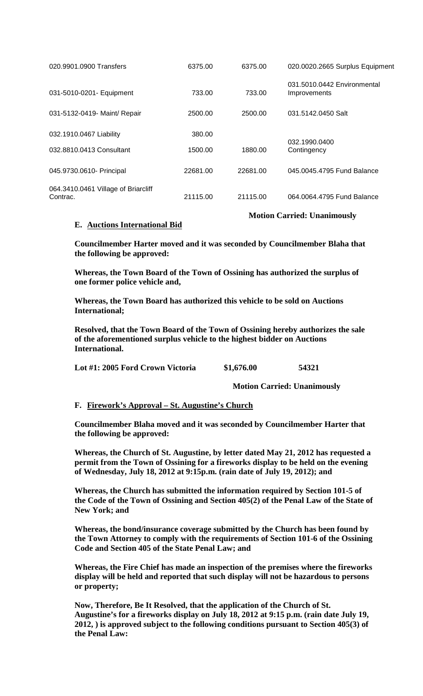| 020.9901.0900 Transfers                             | 6375.00           | 6375.00  | 020.0020.2665 Surplus Equipment             |
|-----------------------------------------------------|-------------------|----------|---------------------------------------------|
| 031-5010-0201- Equipment                            | 733.00            | 733.00   | 031.5010.0442 Environmental<br>Improvements |
| 031-5132-0419- Maint/ Repair                        | 2500.00           | 2500.00  | 031.5142.0450 Salt                          |
| 032.1910.0467 Liability<br>032.8810.0413 Consultant | 380.00<br>1500.00 | 1880.00  | 032.1990.0400<br>Contingency                |
| 045.9730.0610- Principal                            | 22681.00          | 22681.00 | 045.0045.4795 Fund Balance                  |
| 064.3410.0461 Village of Briarcliff<br>Contrac.     | 21115.00          | 21115.00 | 064.0064.4795 Fund Balance                  |

## **E. Auctions International Bid**

**Motion Carried: Unanimously**

**Councilmember Harter moved and it was seconded by Councilmember Blaha that the following be approved:**

**Whereas, the Town Board of the Town of Ossining has authorized the surplus of one former police vehicle and,** 

**Whereas, the Town Board has authorized this vehicle to be sold on Auctions International;**

**Resolved, that the Town Board of the Town of Ossining hereby authorizes the sale of the aforementioned surplus vehicle to the highest bidder on Auctions International.** 

**Lot #1: 2005 Ford Crown Victoria \$1,676.00 54321**

 **Motion Carried: Unanimously**

**F. Firework's Approval – St. Augustine's Church**

**Councilmember Blaha moved and it was seconded by Councilmember Harter that the following be approved:**

**Whereas, the Church of St. Augustine, by letter dated May 21, 2012 has requested a permit from the Town of Ossining for a fireworks display to be held on the evening of Wednesday, July 18, 2012 at 9:15p.m. (rain date of July 19, 2012); and**

**Whereas, the Church has submitted the information required by Section 101-5 of the Code of the Town of Ossining and Section 405(2) of the Penal Law of the State of New York; and**

**Whereas, the bond/insurance coverage submitted by the Church has been found by the Town Attorney to comply with the requirements of Section 101-6 of the Ossining Code and Section 405 of the State Penal Law; and**

**Whereas, the Fire Chief has made an inspection of the premises where the fireworks display will be held and reported that such display will not be hazardous to persons or property;**

**Now, Therefore, Be It Resolved, that the application of the Church of St. Augustine's for a fireworks display on July 18, 2012 at 9:15 p.m. (rain date July 19, 2012, ) is approved subject to the following conditions pursuant to Section 405(3) of the Penal Law:**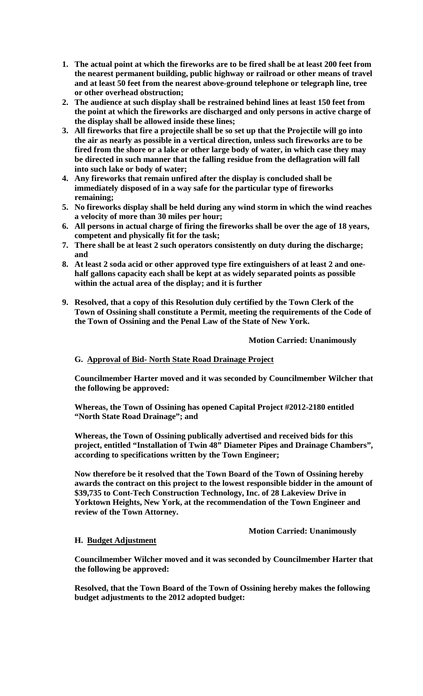- **1. The actual point at which the fireworks are to be fired shall be at least 200 feet from the nearest permanent building, public highway or railroad or other means of travel and at least 50 feet from the nearest above-ground telephone or telegraph line, tree or other overhead obstruction;**
- **2. The audience at such display shall be restrained behind lines at least 150 feet from the point at which the fireworks are discharged and only persons in active charge of the display shall be allowed inside these lines;**
- **3. All fireworks that fire a projectile shall be so set up that the Projectile will go into the air as nearly as possible in a vertical direction, unless such fireworks are to be fired from the shore or a lake or other large body of water, in which case they may be directed in such manner that the falling residue from the deflagration will fall into such lake or body of water;**
- **4. Any fireworks that remain unfired after the display is concluded shall be immediately disposed of in a way safe for the particular type of fireworks remaining;**
- **5. No fireworks display shall be held during any wind storm in which the wind reaches a velocity of more than 30 miles per hour;**
- **6. All persons in actual charge of firing the fireworks shall be over the age of 18 years, competent and physically fit for the task;**
- **7. There shall be at least 2 such operators consistently on duty during the discharge; and**
- **8. At least 2 soda acid or other approved type fire extinguishers of at least 2 and onehalf gallons capacity each shall be kept at as widely separated points as possible within the actual area of the display; and it is further**
- **9. Resolved, that a copy of this Resolution duly certified by the Town Clerk of the Town of Ossining shall constitute a Permit, meeting the requirements of the Code of the Town of Ossining and the Penal Law of the State of New York.**

## **Motion Carried: Unanimously**

## **G. Approval of Bid- North State Road Drainage Project**

**Councilmember Harter moved and it was seconded by Councilmember Wilcher that the following be approved:**

**Whereas, the Town of Ossining has opened Capital Project #2012-2180 entitled "North State Road Drainage"; and** 

**Whereas, the Town of Ossining publically advertised and received bids for this project, entitled "Installation of Twin 48" Diameter Pipes and Drainage Chambers", according to specifications written by the Town Engineer;** 

**Now therefore be it resolved that the Town Board of the Town of Ossining hereby awards the contract on this project to the lowest responsible bidder in the amount of \$39,735 to Cont-Tech Construction Technology, Inc. of 28 Lakeview Drive in Yorktown Heights, New York, at the recommendation of the Town Engineer and review of the Town Attorney.**

**Motion Carried: Unanimously**

## **H. Budget Adjustment**

**Councilmember Wilcher moved and it was seconded by Councilmember Harter that the following be approved:**

**Resolved, that the Town Board of the Town of Ossining hereby makes the following budget adjustments to the 2012 adopted budget:**